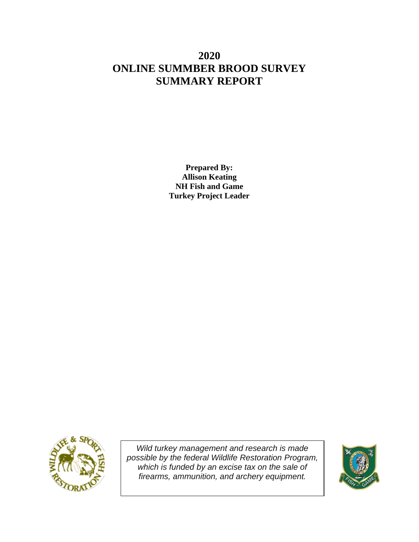# **2020 ONLINE SUMMBER BROOD SURVEY SUMMARY REPORT**

**Prepared By: Allison Keating NH Fish and Game Turkey Project Leader**



*Wild turkey management and research is made possible by the federal Wildlife Restoration Program, which is funded by an excise tax on the sale of firearms, ammunition, and archery equipment.*

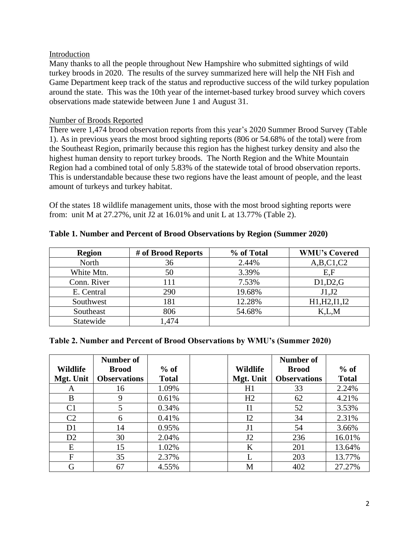#### Introduction

Many thanks to all the people throughout New Hampshire who submitted sightings of wild turkey broods in 2020. The results of the survey summarized here will help the NH Fish and Game Department keep track of the status and reproductive success of the wild turkey population around the state. This was the 10th year of the internet-based turkey brood survey which covers observations made statewide between June 1 and August 31.

## Number of Broods Reported

There were 1,474 brood observation reports from this year's 2020 Summer Brood Survey (Table 1). As in previous years the most brood sighting reports (806 or 54.68% of the total) were from the Southeast Region, primarily because this region has the highest turkey density and also the highest human density to report turkey broods. The North Region and the White Mountain Region had a combined total of only 5.83% of the statewide total of brood observation reports. This is understandable because these two regions have the least amount of people, and the least amount of turkeys and turkey habitat.

Of the states 18 wildlife management units, those with the most brood sighting reports were from: unit M at 27.27%, unit J2 at 16.01% and unit L at 13.77% (Table 2).

| <b>Region</b> | # of Brood Reports | % of Total | <b>WMU's Covered</b> |
|---------------|--------------------|------------|----------------------|
| North         | 36                 | 2.44%      | A,B,C1,C2            |
| White Mtn.    | 50                 | 3.39%      | E,F                  |
| Conn. River   | 11                 | 7.53%      | D1,D2,G              |
| E. Central    | 290                | 19.68%     | J1,J2                |
| Southwest     | 181                | 12.28%     | H1, H2, I1, I2       |
| Southeast     | 806                | 54.68%     | K.L.M                |
| Statewide     | ,474               |            |                      |

#### **Table 1. Number and Percent of Brood Observations by Region (Summer 2020)**

#### **Table 2. Number and Percent of Brood Observations by WMU's (Summer 2020)**

|                 | Number of           |              |                 | <b>Number of</b>    |              |
|-----------------|---------------------|--------------|-----------------|---------------------|--------------|
| <b>Wildlife</b> | <b>Brood</b>        | $%$ of       | <b>Wildlife</b> | <b>Brood</b>        | $%$ of       |
| Mgt. Unit       | <b>Observations</b> | <b>Total</b> | Mgt. Unit       | <b>Observations</b> | <b>Total</b> |
| A               | 16                  | 1.09%        | H1              | 33                  | 2.24%        |
| B               | 9                   | 0.61%        | H <sub>2</sub>  | 62                  | 4.21%        |
| C <sub>1</sub>  | 5                   | 0.34%        | I <sub>1</sub>  | 52                  | 3.53%        |
| C <sub>2</sub>  | 6                   | 0.41%        | I2              | 34                  | 2.31%        |
| D <sub>1</sub>  | 14                  | 0.95%        | J <sub>1</sub>  | 54                  | 3.66%        |
| D2              | 30                  | 2.04%        | J2              | 236                 | 16.01%       |
| E               | 15                  | 1.02%        | K               | 201                 | 13.64%       |
| F               | 35                  | 2.37%        |                 | 203                 | 13.77%       |
|                 | 67                  | 4.55%        | M               | 402                 | 27.27%       |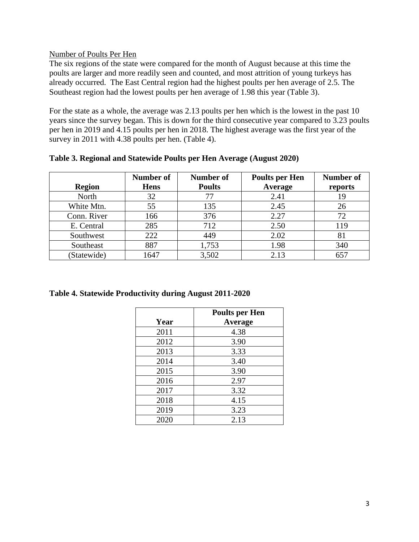## Number of Poults Per Hen

The six regions of the state were compared for the month of August because at this time the poults are larger and more readily seen and counted, and most attrition of young turkeys has already occurred. The East Central region had the highest poults per hen average of 2.5. The Southeast region had the lowest poults per hen average of 1.98 this year (Table 3).

For the state as a whole, the average was 2.13 poults per hen which is the lowest in the past 10 years since the survey began. This is down for the third consecutive year compared to 3.23 poults per hen in 2019 and 4.15 poults per hen in 2018. The highest average was the first year of the survey in 2011 with 4.38 poults per hen. (Table 4).

| Table 3. Regional and Statewide Poults per Hen Average (August 2020) |           |           |                |  |  |  |
|----------------------------------------------------------------------|-----------|-----------|----------------|--|--|--|
|                                                                      | Number of | Number of | Poults per Hen |  |  |  |

|               | <b>Number of</b> | Number of     | <b>Poults per Hen</b> | <b>Number of</b> |
|---------------|------------------|---------------|-----------------------|------------------|
| <b>Region</b> | <b>Hens</b>      | <b>Poults</b> | Average               | reports          |
| North         | 32               |               | 2.41                  | 19               |
| White Mtn.    | 55               | 135           | 2.45                  | 26               |
| Conn. River   | 166              | 376           | 2.27                  | 72               |
| E. Central    | 285              | 712           | 2.50                  | 119              |
| Southwest     | 222              | 449           | 2.02                  | 81               |
| Southeast     | 887              | 1,753         | 1.98                  | 340              |
| (Statewide)   | 1647             | 3,502         | 2.13                  | 657              |

**Table 4. Statewide Productivity during August 2011-2020**

|      | <b>Poults per Hen</b> |
|------|-----------------------|
| Year | Average               |
| 2011 | 4.38                  |
| 2012 | 3.90                  |
| 2013 | 3.33                  |
| 2014 | 3.40                  |
| 2015 | 3.90                  |
| 2016 | 2.97                  |
| 2017 | 3.32                  |
| 2018 | 4.15                  |
| 2019 | 3.23                  |
| 2020 | 2.13                  |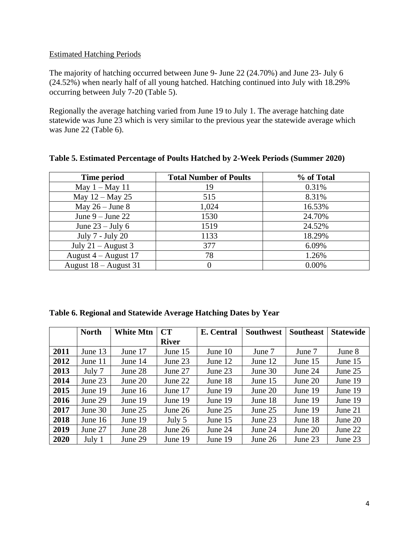## Estimated Hatching Periods

The majority of hatching occurred between June 9- June 22 (24.70%) and June 23- July 6 (24.52%) when nearly half of all young hatched. Hatching continued into July with 18.29% occurring between July 7-20 (Table 5).

Regionally the average hatching varied from June 19 to July 1. The average hatching date statewide was June 23 which is very similar to the previous year the statewide average which was June 22 (Table 6).

| Time period             | <b>Total Number of Poults</b> | % of Total |
|-------------------------|-------------------------------|------------|
| May $1 -$ May 11        | 19                            | 0.31%      |
| May $12 -$ May 25       | 515                           | 8.31%      |
| May $26 -$ June 8       | 1,024                         | 16.53%     |
| June $9 -$ June 22      | 1530                          | 24.70%     |
| June $23 -$ July 6      | 1519                          | 24.52%     |
| July 7 - July 20        | 1133                          | 18.29%     |
| July $21 -$ August 3    | 377                           | 6.09%      |
| August $4 -$ August 17  | 78                            | 1.26%      |
| August $18 -$ August 31 |                               | 0.00%      |

## **Table 5. Estimated Percentage of Poults Hatched by 2-Week Periods (Summer 2020)**

|  | Table 6. Regional and Statewide Average Hatching Dates by Year |  |
|--|----------------------------------------------------------------|--|
|  |                                                                |  |

|      | <b>North</b> | <b>White Mtn</b> | CT           | E. Central | <b>Southwest</b> | <b>Southeast</b> | <b>Statewide</b> |
|------|--------------|------------------|--------------|------------|------------------|------------------|------------------|
|      |              |                  | <b>River</b> |            |                  |                  |                  |
| 2011 | June 13      | June 17          | June 15      | June 10    | June 7           | June 7           | June 8           |
| 2012 | June 11      | June 14          | June 23      | June 12    | June 12          | June 15          | June 15          |
| 2013 | July 7       | June 28          | June 27      | June 23    | June 30          | June 24          | June 25          |
| 2014 | June 23      | June 20          | June 22      | June 18    | June 15          | June 20          | June 19          |
| 2015 | June 19      | June 16          | June 17      | June 19    | June 20          | June 19          | June 19          |
| 2016 | June 29      | June 19          | June 19      | June 19    | June 18          | June 19          | June 19          |
| 2017 | June 30      | June $25$        | June $26$    | June 25    | June 25          | June 19          | June $21$        |
| 2018 | June $16$    | June 19          | July 5       | June 15    | June 23          | June 18          | June $20$        |
| 2019 | June 27      | June 28          | June $26$    | June 24    | June 24          | June 20          | June 22          |
| 2020 | July 1       | June 29          | June 19      | June 19    | June 26          | June 23          | June 23          |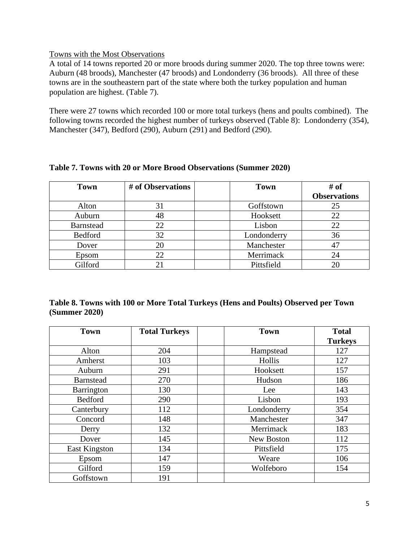## Towns with the Most Observations

A total of 14 towns reported 20 or more broods during summer 2020. The top three towns were: Auburn (48 broods), Manchester (47 broods) and Londonderry (36 broods). All three of these towns are in the southeastern part of the state where both the turkey population and human population are highest. (Table 7).

There were 27 towns which recorded 100 or more total turkeys (hens and poults combined). The following towns recorded the highest number of turkeys observed (Table 8): Londonderry (354), Manchester (347), Bedford (290), Auburn (291) and Bedford (290).

| # of Observations<br><b>Town</b> |    | <b>Town</b> | # of                |
|----------------------------------|----|-------------|---------------------|
|                                  |    |             | <b>Observations</b> |
| Alton                            | 31 | Goffstown   | 25                  |
| Auburn                           | 48 | Hooksett    | 22                  |
| <b>Barnstead</b>                 | 22 | Lisbon      | 22                  |
| Bedford                          | 32 | Londonderry | 36                  |
| Dover                            | 20 | Manchester  | $4^\prime$          |
| Epsom                            | 22 | Merrimack   | 24                  |
| Gilford                          |    | Pittsfield  |                     |

## **Table 7. Towns with 20 or More Brood Observations (Summer 2020)**

# **Table 8. Towns with 100 or More Total Turkeys (Hens and Poults) Observed per Town (Summer 2020)**

| <b>Town</b>       | <b>Total Turkeys</b> | <b>Town</b> | <b>Total</b>   |
|-------------------|----------------------|-------------|----------------|
|                   |                      |             | <b>Turkeys</b> |
| Alton             | 204                  | Hampstead   | 127            |
| Amherst           | 103                  | Hollis      | 127            |
| Auburn            | 291                  | Hooksett    | 157            |
| <b>Barnstead</b>  | 270                  | Hudson      | 186            |
| <b>Barrington</b> | 130                  | Lee         | 143            |
| <b>Bedford</b>    | 290                  | Lisbon      | 193            |
| Canterbury        | 112                  | Londonderry | 354            |
| Concord           | 148                  | Manchester  | 347            |
| Derry             | 132                  | Merrimack   | 183            |
| Dover             | 145                  | New Boston  | 112            |
| East Kingston     | 134                  | Pittsfield  | 175            |
| Epsom             | 147                  | Weare       | 106            |
| Gilford           | 159                  | Wolfeboro   | 154            |
| Goffstown         | 191                  |             |                |